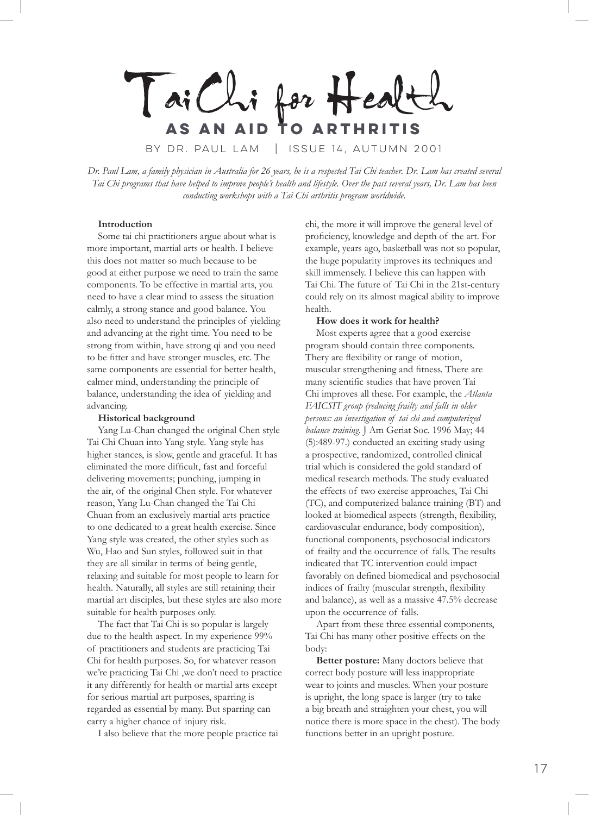Tai Chi for Healt **as an aid to arthritis** by Dr. Paul Lam | Issue 14, autumn 2001

*Dr. Paul Lam, a family physician in Australia for 26 years, he is a respected Tai Chi teacher. Dr. Lam has created several Tai Chi programs that have helped to improve people's health and lifestyle. Over the past several years, Dr. Lam has been conducting workshops with a Tai Chi arthritis program worldwide.*

## **Introduction**

Some tai chi practitioners argue about what is more important, martial arts or health. I believe this does not matter so much because to be good at either purpose we need to train the same components. To be effective in martial arts, you need to have a clear mind to assess the situation calmly, a strong stance and good balance. You also need to understand the principles of yielding and advancing at the right time. You need to be strong from within, have strong qi and you need to be fitter and have stronger muscles, etc. The same components are essential for better health, calmer mind, understanding the principle of balance, understanding the idea of yielding and advancing.

## **Historical background**

Yang Lu-Chan changed the original Chen style Tai Chi Chuan into Yang style. Yang style has higher stances, is slow, gentle and graceful. It has eliminated the more difficult, fast and forceful delivering movements; punching, jumping in the air, of the original Chen style. For whatever reason, Yang Lu-Chan changed the Tai Chi Chuan from an exclusively martial arts practice to one dedicated to a great health exercise. Since Yang style was created, the other styles such as Wu, Hao and Sun styles, followed suit in that they are all similar in terms of being gentle, relaxing and suitable for most people to learn for health. Naturally, all styles are still retaining their martial art disciples, but these styles are also more suitable for health purposes only.

The fact that Tai Chi is so popular is largely due to the health aspect. In my experience 99% of practitioners and students are practicing Tai Chi for health purposes. So, for whatever reason we're practicing Tai Chi ,we don't need to practice it any differently for health or martial arts except for serious martial art purposes, sparring is regarded as essential by many. But sparring can carry a higher chance of injury risk.

I also believe that the more people practice tai

chi, the more it will improve the general level of proficiency, knowledge and depth of the art. For example, years ago, basketball was not so popular, the huge popularity improves its techniques and skill immensely. I believe this can happen with Tai Chi. The future of Tai Chi in the 21st-century could rely on its almost magical ability to improve health.

## **How does it work for health?**

Most experts agree that a good exercise program should contain three components. Thery are flexibility or range of motion, muscular strengthening and fitness. There are many scientific studies that have proven Tai Chi improves all these. For example, the *Atlanta FAICSIT group (reducing frailty and falls in older persons: an investigation of tai chi and computerized balance training*. J Am Geriat Soc. 1996 May; 44 (5):489-97.) conducted an exciting study using a prospective, randomized, controlled clinical trial which is considered the gold standard of medical research methods. The study evaluated the effects of two exercise approaches, Tai Chi (TC), and computerized balance training (BT) and looked at biomedical aspects (strength, flexibility, cardiovascular endurance, body composition), functional components, psychosocial indicators of frailty and the occurrence of falls. The results indicated that TC intervention could impact favorably on defined biomedical and psychosocial indices of frailty (muscular strength, flexibility and balance), as well as a massive 47.5% decrease upon the occurrence of falls.

Apart from these three essential components, Tai Chi has many other positive effects on the body:

**Better posture:** Many doctors believe that correct body posture will less inappropriate wear to joints and muscles. When your posture is upright, the long space is larger (try to take a big breath and straighten your chest, you will notice there is more space in the chest). The body functions better in an upright posture.